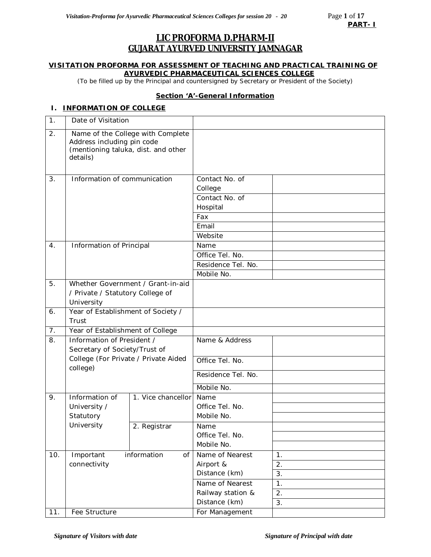## **LIC PROFORMA D.PHARM-II GUJARAT AYURVED UNIVERSITY JAMNAGAR**

### **VISITATION PROFORMA FOR ASSESSMENT OF TEACHING AND PRACTICAL TRAINING OF AYURVEDIC PHARMACEUTICAL SCIENCES COLLEGE**

*(*To be filled up by the Principal and countersigned by Secretary or President of the Society)

### **Section 'A'-General Information**

## **I. INFORMATION OF COLLEGE**

| 1.             | Date of Visitation                                                            |                                   |                                                                         |    |
|----------------|-------------------------------------------------------------------------------|-----------------------------------|-------------------------------------------------------------------------|----|
| 2.             | Address including pin code<br>(mentioning taluka, dist. and other<br>details) | Name of the College with Complete |                                                                         |    |
| 3.             | Information of communication                                                  |                                   | Contact No. of<br>College<br>Contact No. of<br>Hospital<br>Fax<br>Email |    |
|                |                                                                               |                                   | Website                                                                 |    |
| 4.             | Information of Principal                                                      |                                   | Name                                                                    |    |
|                |                                                                               |                                   | Office Tel. No.<br>Residence Tel. No.                                   |    |
|                |                                                                               |                                   | Mobile No.                                                              |    |
| 5.             |                                                                               | Whether Government / Grant-in-aid |                                                                         |    |
|                | / Private / Statutory College of                                              |                                   |                                                                         |    |
|                | University                                                                    |                                   |                                                                         |    |
| 6.             | Year of Establishment of Society /                                            |                                   |                                                                         |    |
|                | Trust                                                                         |                                   |                                                                         |    |
| 7 <sub>1</sub> | Year of Establishment of College                                              |                                   |                                                                         |    |
| 8.             | Information of President /<br>Secretary of Society/Trust of                   |                                   | Name & Address                                                          |    |
|                | College (For Private / Private Aided<br>college)                              |                                   | Office Tel. No.                                                         |    |
|                |                                                                               |                                   | Residence Tel. No.                                                      |    |
|                |                                                                               |                                   | Mobile No.                                                              |    |
| 9.             | Information of<br>University /<br>Statutory                                   | 1. Vice chancellor                | Name<br>Office Tel. No.<br>Mobile No.                                   |    |
|                | University                                                                    | 2. Registrar                      | Name<br>Office Tel. No.<br>Mobile No.                                   |    |
| 10.            | Important                                                                     | information<br>of                 | Name of Nearest                                                         | 1. |
|                | connectivity                                                                  |                                   | Airport &                                                               | 2. |
|                |                                                                               |                                   | Distance (km)                                                           | 3. |
|                |                                                                               |                                   | Name of Nearest                                                         | 1. |
|                |                                                                               |                                   | Railway station &<br>Distance (km)                                      | 2. |
| 11.            | Fee Structure                                                                 |                                   |                                                                         | 3. |
|                |                                                                               |                                   | For Management                                                          |    |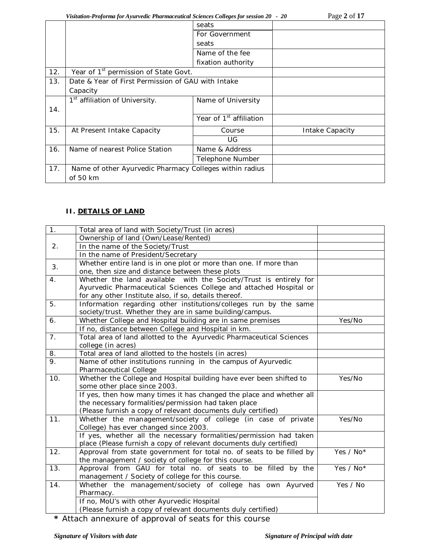*Visitation-Proforma for Ayurvedic Pharmaceutical Sciences Colleges for session 20 - 20* Page **2** of **17**

|     |                                                         | seats                               |                 |
|-----|---------------------------------------------------------|-------------------------------------|-----------------|
|     |                                                         | For Government                      |                 |
|     |                                                         | seats                               |                 |
|     |                                                         | Name of the fee                     |                 |
|     |                                                         | fixation authority                  |                 |
| 12. | Year of 1 <sup>st</sup> permission of State Govt.       |                                     |                 |
| 13. | Date & Year of First Permission of GAU with Intake      |                                     |                 |
|     | Capacity                                                |                                     |                 |
|     | 1 <sup>st</sup> affiliation of University.              | Name of University                  |                 |
| 14. |                                                         |                                     |                 |
|     |                                                         | Year of 1 <sup>st</sup> affiliation |                 |
| 15. | At Present Intake Capacity                              | Course                              | Intake Capacity |
|     |                                                         | UG                                  |                 |
| 16. | Name of nearest Police Station                          | Name & Address                      |                 |
|     |                                                         | Telephone Number                    |                 |
| 17. | Name of other Ayurvedic Pharmacy Colleges within radius |                                     |                 |
|     | of 50 km                                                |                                     |                 |
|     |                                                         |                                     |                 |

## **II. DETAILS OF LAND**

| Yes/No    |
|-----------|
|           |
|           |
|           |
|           |
|           |
|           |
| Yes/No    |
|           |
|           |
|           |
|           |
| Yes/No    |
|           |
|           |
|           |
| Yes / No* |
|           |
| Yes / No* |
|           |
| Yes / No  |
|           |
|           |
|           |
|           |

**\*** Attach annexure of approval of seats for this course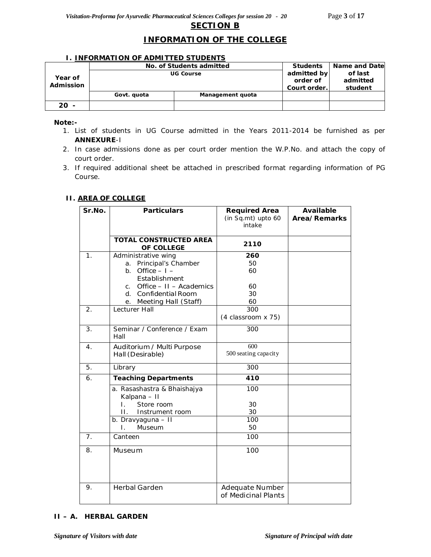## **INFORMATION OF THE COLLEGE**

### **I. INFORMATION OF ADMITTED STUDENTS**

|           | No. of Students admitted | <b>Students</b>  | <b>Name and Datel</b> |  |
|-----------|--------------------------|------------------|-----------------------|--|
|           | <b>UG Course</b>         | admitted by      | of last               |  |
| Year of   |                          | order of         | admitted              |  |
| Admission |                          | Court order.     | student               |  |
|           | Govt. quota              | Management quota |                       |  |
| $20 -$    |                          |                  |                       |  |

*Note:-* 

- *1. List of students in UG Course admitted in the Years 2011-2014 be furnished as per ANNEXURE-I*
- *2. In case admissions done as per court order mention the W.P.No. and attach the copy of court order.*
- *3. If required additional sheet be attached in prescribed format regarding information of PG Course.*

### **II. AREA OF COLLEGE**

| Sr.No.           | <b>Particulars</b>                          | <b>Required Area</b><br>(in Sq.mt) upto 60<br>intake | Available<br>Area/Remarks |
|------------------|---------------------------------------------|------------------------------------------------------|---------------------------|
|                  | <b>TOTAL CONSTRUCTED AREA</b><br>OF COLLEGE | 2110                                                 |                           |
| 1.               | Administrative wing                         | 260                                                  |                           |
|                  | a. Principal's Chamber                      | 50                                                   |                           |
|                  | b. Office $-1$ -                            | 60                                                   |                           |
|                  | Establishment                               |                                                      |                           |
|                  | c. Office $-11 -$ Academics                 | 60                                                   |                           |
|                  | d. Confidential Room                        | 30                                                   |                           |
|                  | e. Meeting Hall (Staff)                     | 60                                                   |                           |
| 2.               | Lecturer Hall                               | 300                                                  |                           |
|                  |                                             | (4 classroom x 75)                                   |                           |
| 3.               | Seminar / Conference / Exam<br>Hall         | 300                                                  |                           |
| $\overline{4}$ . | Auditorium / Multi Purpose                  | 600                                                  |                           |
|                  | Hall (Desirable)                            | 500 seating capacity                                 |                           |
| 5.               | Library                                     | 300                                                  |                           |
| 6.               | <b>Teaching Departments</b>                 | 410                                                  |                           |
|                  | a. Rasashastra & Bhaishajya<br>Kalpana - II | 100                                                  |                           |
|                  | Store room<br>Ι.                            | 30                                                   |                           |
|                  | $\Pi$ .<br>Instrument room                  | 30                                                   |                           |
|                  | b. Dravyaguna - II                          | 100                                                  |                           |
|                  | Museum<br>L.                                | 50                                                   |                           |
| 7.               | Canteen                                     | 100                                                  |                           |
| 8.               | Museum                                      | 100                                                  |                           |
| 9.               | <b>Herbal Garden</b>                        | Adequate Number<br>of Medicinal Plants               |                           |

## **II – A. HERBAL GARDEN**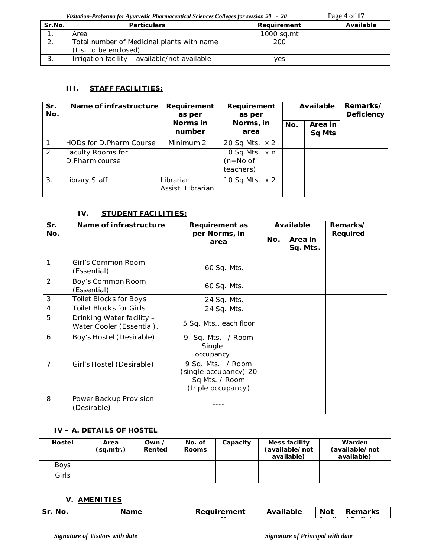*Visitation-Proforma for Ayurvedic Pharmaceutical Sciences Colleges for session 20 - 20* Page **4** of **17**

| Sr.No. | <b>Particulars</b>                            | Requirement | Available |
|--------|-----------------------------------------------|-------------|-----------|
|        | Area                                          | 1000 sa.mt  |           |
|        | Total number of Medicinal plants with name    | 200         |           |
|        | (List to be enclosed)                         |             |           |
| . ب    | Irrigation facility - available/not available | ves         |           |

## **III. STAFF FACILITIES:**

| Sr.<br>No.    | Name of infrastructure              | Requirement<br>as per          | Requirement<br>as per                     | Available |                          | Remarks/<br><b>Deficiency</b> |
|---------------|-------------------------------------|--------------------------------|-------------------------------------------|-----------|--------------------------|-------------------------------|
|               |                                     | Norms in<br>number             | Norms, in<br>area                         | No.       | Area in<br><b>Sq Mts</b> |                               |
|               | HODs for D. Pharm Course            | Minimum 2                      | 20 Sq Mts. x 2                            |           |                          |                               |
| $\mathcal{P}$ | Faculty Rooms for<br>D.Pharm course |                                | 10 Sq Mts. x n<br>$(n=No of$<br>teachers) |           |                          |                               |
| 3.            | Library Staff                       | Librarian<br>Assist. Librarian | 10 Sq Mts. x 2                            |           |                          |                               |

## **IV. STUDENT FACILITIES:**

| Sr.<br>No.     | Name of infrastructure                                 | <b>Requirement as</b><br>per Norms, in                                             |     | Available           | Remarks/<br>Required |
|----------------|--------------------------------------------------------|------------------------------------------------------------------------------------|-----|---------------------|----------------------|
|                |                                                        | area                                                                               | No. | Area in<br>Sq. Mts. |                      |
| 1              | Girl's Common Room<br>(Essential)                      | 60 Sq. Mts.                                                                        |     |                     |                      |
| $\overline{2}$ | Boy's Common Room<br>(Essential)                       | 60 Sq. Mts.                                                                        |     |                     |                      |
| 3              | <b>Toilet Blocks for Boys</b>                          | 24 Sq. Mts.                                                                        |     |                     |                      |
| $\overline{4}$ | <b>Toilet Blocks for Girls</b>                         | 24 Sq. Mts.                                                                        |     |                     |                      |
| 5              | Drinking Water facility -<br>Water Cooler (Essential). | 5 Sq. Mts., each floor                                                             |     |                     |                      |
| 6              | Boy's Hostel (Desirable)                               | Sq. Mts. / Room<br>9<br>Single<br>occupancy                                        |     |                     |                      |
| $\overline{7}$ | Girl's Hostel (Desirable)                              | 9 Sq. Mts. / Room<br>(single occupancy) 20<br>Sq Mts. / Room<br>(triple occupancy) |     |                     |                      |
| 8              | Power Backup Provision<br>(Desirable)                  |                                                                                    |     |                     |                      |

## **IV – A. DETAILS OF HOSTEL**

| Hostel      | Area<br>(sg.mtr.) | Own /<br>Rented | No. of<br><b>Rooms</b> | Capacity | Mess facility<br>(available/not<br>available) | Warden<br>(available/not<br>available) |
|-------------|-------------------|-----------------|------------------------|----------|-----------------------------------------------|----------------------------------------|
| <b>Boys</b> |                   |                 |                        |          |                                               |                                        |
| Girls       |                   |                 |                        |          |                                               |                                        |

## **V. AMENITIES**

| Sr.<br>N <sub>0</sub><br>wv. | $\sim$ mass<br>'me | Reauirement | Available | <b>Not</b> | रemarks |
|------------------------------|--------------------|-------------|-----------|------------|---------|
|                              |                    |             |           |            |         |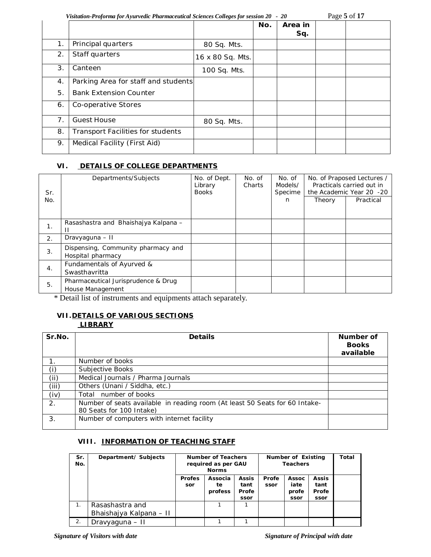*Visitation-Proforma for Ayurvedic Pharmaceutical Sciences Colleges for session 20 - 20* Page **5** of **17**

|                |                                          |                  |     |                | ັ |  |
|----------------|------------------------------------------|------------------|-----|----------------|---|--|
|                |                                          |                  | No. | Area in<br>Sq. |   |  |
| 1.             | Principal quarters                       | 80 Sq. Mts.      |     |                |   |  |
| 2.             | Staff quarters                           | 16 x 80 Sq. Mts. |     |                |   |  |
| 3.             | Canteen                                  | 100 Sq. Mts.     |     |                |   |  |
| 4.             | Parking Area for staff and students      |                  |     |                |   |  |
| 5.             | <b>Bank Extension Counter</b>            |                  |     |                |   |  |
| 6.             | Co-operative Stores                      |                  |     |                |   |  |
| 7 <sub>1</sub> | <b>Guest House</b>                       | 80 Sq. Mts.      |     |                |   |  |
| 8.             | <b>Transport Facilities for students</b> |                  |     |                |   |  |
| 9.             | Medical Facility (First Aid)             |                  |     |                |   |  |

## **VI. DETAILS OF COLLEGE DEPARTMENTS**

| Sr.<br>No. | Departments/Subjects                                    | No. of Dept.<br>Library<br><b>Books</b> | No. of<br>Charts | No. of<br>Models/<br>Specime<br>n | Theory | No. of Praposed Lectures /<br>Practicals carried out in<br>the Academic Year 20 -20<br>Practical |
|------------|---------------------------------------------------------|-----------------------------------------|------------------|-----------------------------------|--------|--------------------------------------------------------------------------------------------------|
| 1.         | Rasashastra and Bhaishaiya Kalpana -                    |                                         |                  |                                   |        |                                                                                                  |
| 2.         | Dravyaguna - II                                         |                                         |                  |                                   |        |                                                                                                  |
| 3.         | Dispensing, Community pharmacy and<br>Hospital pharmacy |                                         |                  |                                   |        |                                                                                                  |
| 4.         | Fundamentals of Ayurved &<br>Swasthavritta              |                                         |                  |                                   |        |                                                                                                  |
| 5.         | Pharmaceutical Jurisprudence & Drug<br>House Management |                                         |                  |                                   |        |                                                                                                  |

\* Detail list of instruments and equipments attach separately.

# **VII.DETAILS OF VARIOUS SECTIONS**

## **LIBRARY**

| Sr.No.         | <b>Details</b>                                                                                          | Number of<br><b>Books</b><br>available |
|----------------|---------------------------------------------------------------------------------------------------------|----------------------------------------|
| 1 <sub>1</sub> | Number of books                                                                                         |                                        |
| (i)            | Subjective Books                                                                                        |                                        |
| (ii)           | Medical Journals / Pharma Journals                                                                      |                                        |
| (iii)          | Others (Unani / Siddha, etc.)                                                                           |                                        |
| (iv)           | Total number of books                                                                                   |                                        |
| 2.             | Number of seats available in reading room (At least 50 Seats for 60 Intake-<br>80 Seats for 100 Intake) |                                        |
| 3.             | Number of computers with internet facility                                                              |                                        |

## **VIII. INFORMATION OF TEACHING STAFF**

| Sr.<br>No. | Department/Subjects     | Number of Teachers<br>required as per GAU<br><b>Norms</b> |         | Number of Existing<br><b>Teachers</b> |       |       | Total        |  |
|------------|-------------------------|-----------------------------------------------------------|---------|---------------------------------------|-------|-------|--------------|--|
|            |                         | <b>Profes</b>                                             | Associa | <b>Assis</b>                          | Profe | Assoc | <b>Assis</b> |  |
|            |                         | sor                                                       | te      | tant                                  | ssor  | iate  | tant         |  |
|            |                         |                                                           | profess | Profe                                 |       | profe | Profe        |  |
|            |                         |                                                           |         | ssor                                  |       | ssor  | ssor         |  |
|            | Rasashastra and         |                                                           |         |                                       |       |       |              |  |
|            | Bhaishajya Kalpana – II |                                                           |         |                                       |       |       |              |  |
| 2.         | Dravyaguna – II         |                                                           |         |                                       |       |       |              |  |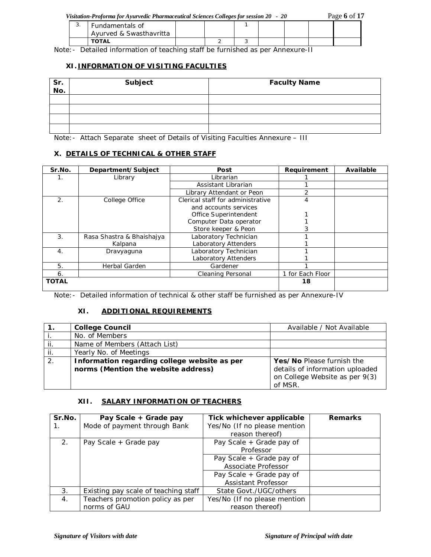|  | Visitation-Proforma for Ayurvedic Pharmaceutical Sciences Colleges for session 20 - 20 |  |  |  | Page 6 of 17 |
|--|----------------------------------------------------------------------------------------|--|--|--|--------------|
|--|----------------------------------------------------------------------------------------|--|--|--|--------------|

| . ب | Fundamentals of         |  |  |  |  |  |  |  |
|-----|-------------------------|--|--|--|--|--|--|--|
|     | Avurved & Swasthavritta |  |  |  |  |  |  |  |
|     | <b>TOTAL</b>            |  |  |  |  |  |  |  |

Note:- Detailed information of teaching staff be furnished as per Annexure-II

## **XI. INFORMATION OF VISITING FACULTIES**

| Sr.<br>No. | Subject | <b>Faculty Name</b> |
|------------|---------|---------------------|
|            |         |                     |
|            |         |                     |
|            |         |                     |
|            |         |                     |

Note:- Attach Separate sheet of Details of Visiting Faculties Annexure – III

### **X. DETAILS OF TECHNICAL & OTHER STAFF**

| Sr.No.           | Department/Subject        | Post                              | Requirement      | Available |
|------------------|---------------------------|-----------------------------------|------------------|-----------|
| 1.               | Library                   | Librarian                         |                  |           |
|                  |                           | Assistant Librarian               |                  |           |
|                  |                           | Library Attendant or Peon         | っ                |           |
| $\overline{2}$ . | College Office            | Clerical staff for administrative | 4                |           |
|                  |                           | and accounts services             |                  |           |
|                  |                           | Office Superintendent             |                  |           |
|                  |                           | Computer Data operator            |                  |           |
|                  |                           | Store keeper & Peon               |                  |           |
| 3.               | Rasa Shastra & Bhaishajya | Laboratory Technician             |                  |           |
|                  | Kalpana                   | Laboratory Attenders              |                  |           |
| 4 <sub>1</sub>   | Dravyaguna                | Laboratory Technician             |                  |           |
|                  |                           | <b>Laboratory Attenders</b>       |                  |           |
| 5.               | Herbal Garden             | Gardener                          |                  |           |
| 6.               |                           | <b>Cleaning Personal</b>          | 1 for Each Floor |           |
| <b>TOTAL</b>     |                           |                                   | 18               |           |

Note:- Detailed information of technical & other staff be furnished as per Annexure-IV

## **XI. ADDITIONAL REQUIREMENTS**

|     | <b>College Council</b>                       | Available / Not Available       |
|-----|----------------------------------------------|---------------------------------|
|     | No. of Members                               |                                 |
|     | Name of Members (Attach List)                |                                 |
| ji. | Yearly No. of Meetings                       |                                 |
| 2.  | Information regarding college website as per | Yes/No Please furnish the       |
|     | norms (Mention the website address)          | details of information uploaded |
|     |                                              | on College Website as per 9(3)  |
|     |                                              | of MSR.                         |

### **XII. SALARY INFORMATION OF TEACHERS**

| Sr.No.         | Pay Scale + Grade pay                | Tick whichever applicable    | <b>Remarks</b> |
|----------------|--------------------------------------|------------------------------|----------------|
|                | Mode of payment through Bank         | Yes/No (If no please mention |                |
|                |                                      | reason thereof)              |                |
| 2.             | Pay Scale + Grade pay                | Pay Scale + Grade pay of     |                |
|                |                                      | Professor                    |                |
|                |                                      | Pay Scale + Grade pay of     |                |
|                |                                      | Associate Professor          |                |
|                |                                      | Pay Scale + Grade pay of     |                |
|                |                                      | Assistant Professor          |                |
| 3.             | Existing pay scale of teaching staff | State Govt./UGC/others       |                |
| $\mathbf{4}$ . | Teachers promotion policy as per     | Yes/No (If no please mention |                |
|                | norms of GAU                         | reason thereof)              |                |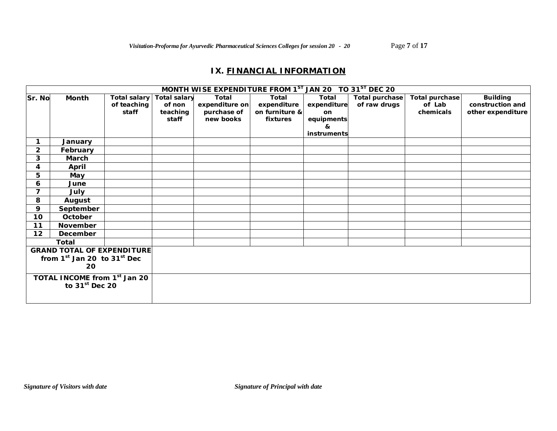## **IX. FINANCIAL INFORMATION**

|                              |                                   |              |                     | MONTH WISE EXPENDITURE FROM 1ST JAN 20 TO 31ST DEC 20 |                |             |                       |                |                   |
|------------------------------|-----------------------------------|--------------|---------------------|-------------------------------------------------------|----------------|-------------|-----------------------|----------------|-------------------|
| Sr. No                       | Month                             | Total salary | <b>Total salary</b> | Total                                                 | Total          | Total       | <b>Total purchase</b> | Total purchase | <b>Building</b>   |
|                              |                                   | of teaching  | of non              | expenditure on                                        | expenditure    | expenditure | of raw drugs          | of Lab         | construction and  |
|                              |                                   | staff        | teaching            | purchase of                                           | on furniture & | <b>on</b>   |                       | chemicals      | other expenditure |
|                              |                                   |              | staff               | new books                                             | fixtures       | equipments  |                       |                |                   |
|                              |                                   |              |                     |                                                       |                | &           |                       |                |                   |
|                              |                                   |              |                     |                                                       |                | instruments |                       |                |                   |
|                              | January                           |              |                     |                                                       |                |             |                       |                |                   |
| $\mathbf{2}$                 | February                          |              |                     |                                                       |                |             |                       |                |                   |
| 3                            | March                             |              |                     |                                                       |                |             |                       |                |                   |
| 4                            | April                             |              |                     |                                                       |                |             |                       |                |                   |
| 5                            | May                               |              |                     |                                                       |                |             |                       |                |                   |
| 6                            | June                              |              |                     |                                                       |                |             |                       |                |                   |
| $\overline{7}$               | July                              |              |                     |                                                       |                |             |                       |                |                   |
| 8                            | August                            |              |                     |                                                       |                |             |                       |                |                   |
| 9                            | September                         |              |                     |                                                       |                |             |                       |                |                   |
| 10 <sub>1</sub>              | October                           |              |                     |                                                       |                |             |                       |                |                   |
| 11                           | November                          |              |                     |                                                       |                |             |                       |                |                   |
| 12                           | December                          |              |                     |                                                       |                |             |                       |                |                   |
|                              | Total                             |              |                     |                                                       |                |             |                       |                |                   |
|                              | <b>GRAND TOTAL OF EXPENDITURE</b> |              |                     |                                                       |                |             |                       |                |                   |
|                              | from $1st$ Jan 20 to $31st$ Dec   |              |                     |                                                       |                |             |                       |                |                   |
|                              | 20                                |              |                     |                                                       |                |             |                       |                |                   |
| TOTAL INCOME from 1st Jan 20 |                                   |              |                     |                                                       |                |             |                       |                |                   |
|                              | to $31st$ Dec 20                  |              |                     |                                                       |                |             |                       |                |                   |
|                              |                                   |              |                     |                                                       |                |             |                       |                |                   |
|                              |                                   |              |                     |                                                       |                |             |                       |                |                   |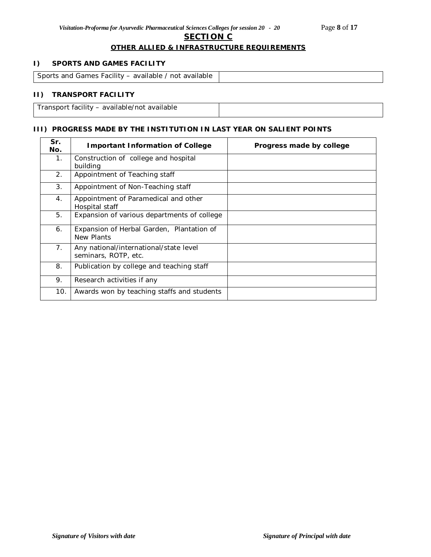### **SECTION C**

### **OTHER ALLIED & INFRASTRUCTURE REQUIREMENTS**

### **I) SPORTS AND GAMES FACILITY**

| Sports and Games Facility – available / not available |  |
|-------------------------------------------------------|--|

### **II) TRANSPORT FACILITY**

Transport facility – available/not available

## **III) PROGRESS MADE BY THE INSTITUTION IN LAST YEAR ON SALIENT POINTS**

| Sr.<br>No. | <b>Important Information of College</b>                        | Progress made by college |
|------------|----------------------------------------------------------------|--------------------------|
| 1.         | Construction of college and hospital<br>building               |                          |
| 2.         | Appointment of Teaching staff                                  |                          |
| 3.         | Appointment of Non-Teaching staff                              |                          |
| 4.         | Appointment of Paramedical and other<br>Hospital staff         |                          |
| 5.         | Expansion of various departments of college                    |                          |
| 6.         | Expansion of Herbal Garden, Plantation of<br>New Plants        |                          |
| 7.         | Any national/international/state level<br>seminars, ROTP, etc. |                          |
| 8.         | Publication by college and teaching staff                      |                          |
| 9.         | Research activities if any                                     |                          |
| 10.        | Awards won by teaching staffs and students                     |                          |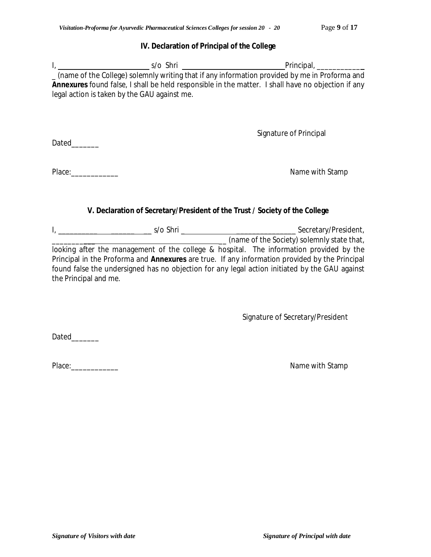## **IV. Declaration of Principal of the College**

|                                              | _ (name of the College) solemnly writing that if any information provided by me in Proforma and           |
|----------------------------------------------|-----------------------------------------------------------------------------------------------------------|
|                                              | <b>Annexures</b> found false, I shall be held responsible in the matter. I shall have no objection if any |
| legal action is taken by the GAU against me. |                                                                                                           |
|                                              |                                                                                                           |
|                                              |                                                                                                           |
|                                              | Signature of Principal                                                                                    |
| Dated                                        |                                                                                                           |
|                                              |                                                                                                           |
|                                              |                                                                                                           |
| Place:                                       | Name with Stamp                                                                                           |

## **V. Declaration of Secretary/President of the Trust / Society of the College**

| s/o Shri                                                                                       | Secretary/President,                       |
|------------------------------------------------------------------------------------------------|--------------------------------------------|
|                                                                                                | (name of the Society) solemnly state that, |
| looking after the management of the college & hospital. The information provided by the        |                                            |
| Principal in the Proforma and Annexures are true. If any information provided by the Principal |                                            |
| found false the undersigned has no objection for any legal action initiated by the GAU against |                                            |
| the Principal and me.                                                                          |                                            |

Signature of Secretary/President

Dated\_\_\_\_\_\_\_

Place:\_\_\_\_\_\_\_\_\_\_\_\_ Name with Stamp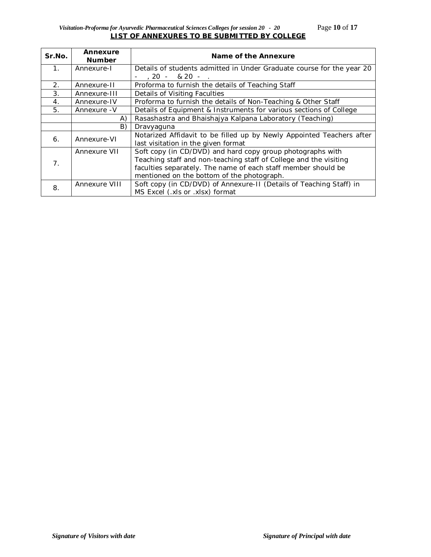## *Visitation-Proforma for Ayurvedic Pharmaceutical Sciences Colleges for session 20 - 20* Page **10** of **17 LIST OF ANNEXURES TO BE SUBMITTED BY COLLEGE**

| Sr.No.         | Annexure<br><b>Number</b> | Name of the Annexure                                                                                                                                                                                                                           |
|----------------|---------------------------|------------------------------------------------------------------------------------------------------------------------------------------------------------------------------------------------------------------------------------------------|
| $\mathbf{1}$ . | Annexure-I                | Details of students admitted in Under Graduate course for the year 20                                                                                                                                                                          |
|                |                           | $.20 - 820 - .$                                                                                                                                                                                                                                |
| 2.             | Annexure-II               | Proforma to furnish the details of Teaching Staff                                                                                                                                                                                              |
| 3.             | Annexure-III              | Details of Visiting Faculties                                                                                                                                                                                                                  |
| 4.             | Annexure-IV               | Proforma to furnish the details of Non-Teaching & Other Staff                                                                                                                                                                                  |
| 5.             | Annexure - V              | Details of Equipment & Instruments for various sections of College                                                                                                                                                                             |
|                | A)                        | Rasashastra and Bhaishajya Kalpana Laboratory (Teaching)                                                                                                                                                                                       |
|                | B)                        | Dravyaguna                                                                                                                                                                                                                                     |
| 6.             | Annexure-VI               | Notarized Affidavit to be filled up by Newly Appointed Teachers after<br>last visitation in the given format                                                                                                                                   |
| 7 <sub>1</sub> | Annexure VII              | Soft copy (in CD/DVD) and hard copy group photographs with<br>Teaching staff and non-teaching staff of College and the visiting<br>faculties separately. The name of each staff member should be<br>mentioned on the bottom of the photograph. |
| 8.             | Annexure VIII             | Soft copy (in CD/DVD) of Annexure-II (Details of Teaching Staff) in<br>MS Excel (.xls or .xlsx) format                                                                                                                                         |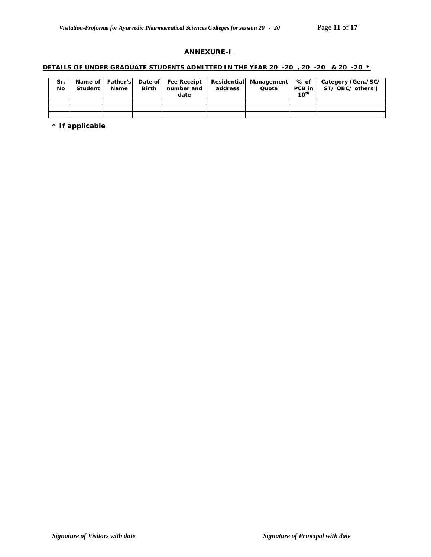### **ANNEXURE-I**

### **DETAILS OF UNDER GRADUATE STUDENTS ADMITTED IN THE YEAR 20 -20 , 20 -20 & 20 -20 \***

| Sr.<br>Nο | Student | Name | <b>Birth</b> | Name of Father's Date of Fee Receipt Residential Management<br>number and<br>date | address | Quota | % of<br>PCB in<br>$10^{th}$ | Category (Gen./SC/<br>ST/OBC/others) |
|-----------|---------|------|--------------|-----------------------------------------------------------------------------------|---------|-------|-----------------------------|--------------------------------------|
|           |         |      |              |                                                                                   |         |       |                             |                                      |
|           |         |      |              |                                                                                   |         |       |                             |                                      |
|           |         |      |              |                                                                                   |         |       |                             |                                      |

**\* If applicable**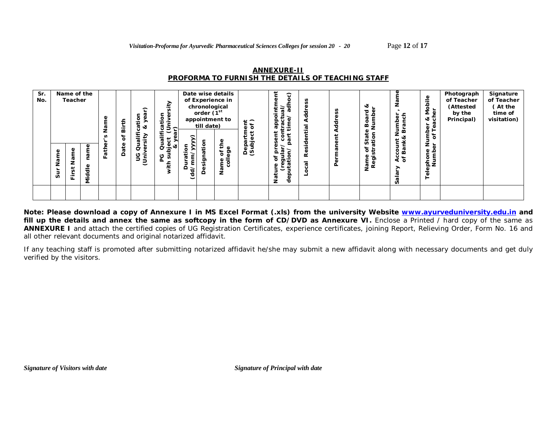| <b>ANNEXURE-II</b>                                       |  |
|----------------------------------------------------------|--|
| <b>PROFORMA TO FURNISH THE DETAILS OF TEACHING STAFF</b> |  |

| Sr.<br>No. | Φ<br>Nam<br>ູ້ສ | Name of the<br>Teacher<br>ξ<br>z<br>سه<br>∸<br>ш. | ω<br>ø<br>Φ<br>-<br>ठ<br>ठ<br>έ | Φ<br>푾<br>ш | Birth<br>ð<br>ate<br>$\Omega$ | $\hat{\phantom{0}}$<br>yea<br>$\overline{5}$<br>ಕ ತ<br>٤<br>⋋<br><u>ັທ</u><br>Ø<br>đ<br>Φ<br>9<br>Ë | ≥<br>÷<br>jiver<br>5<br>÷<br>$8 \n5$<br>∽<br>$\check{ }$<br>. .<br>ዾ<br>Qua<br>bject<br>∝ಶ.<br>ā<br>ပ<br>⇇ | ⊂<br>€<br>Φ<br>$\sigma$<br>≏<br>$\overline{6}$ | chronological<br>order (1st<br>till date)<br>ë<br>ট<br><br>Δ | Date wise details<br>of Experience in<br>appointment to<br>e۹<br>Ф<br>ច តូ<br>$\overline{5}$<br>Φ<br>$\mathbf{z}$ | $\frac{1}{6}$<br>ign<br>Ga<br>ବୁ ଦୁ | Ë<br>ි<br>╤<br>ರ<br>ัธ<br>용용<br>n.<br>ಹ<br>Φ<br>ం<br>ā<br>Ω<br>$\circ$<br>$\circ$<br>ರಾ≑<br>$\mathbf{a}$<br>Φ<br>Φ<br>z<br>Ō | SS<br>Φ<br>흉<br>$\overline{\sigma}$<br>پ<br>ð<br>ِ آل<br>œ<br>$\overline{\sigma}$<br>$\mathbf c$ | ত<br>$\Delta$ | ∝<br>ত<br>ø<br>Ő<br>≃<br>ā<br>ທ ਦ<br>৳<br>5<br>-<br>≿<br>Φ<br>ᇹᄚ | Jumber<br>Branch<br>count l'<br>Bank&<br>ount<br>९<br>१० | Mobile<br>rer<br>જ<br>ပ<br>ී<br>Number<br>⊢<br>$\mathbf{b}$<br>৳<br>Ф<br>Numb<br>ephon<br>-<br>O<br>⊢ | Photograph<br>of Teacher<br>(Attested<br>by the<br>Principal) | Signature<br>of Teacher<br>(At the<br>time of<br>visitation) |
|------------|-----------------|---------------------------------------------------|---------------------------------|-------------|-------------------------------|-----------------------------------------------------------------------------------------------------|------------------------------------------------------------------------------------------------------------|------------------------------------------------|--------------------------------------------------------------|-------------------------------------------------------------------------------------------------------------------|-------------------------------------|------------------------------------------------------------------------------------------------------------------------------|--------------------------------------------------------------------------------------------------|---------------|------------------------------------------------------------------|----------------------------------------------------------|-------------------------------------------------------------------------------------------------------|---------------------------------------------------------------|--------------------------------------------------------------|
|            |                 |                                                   |                                 |             |                               |                                                                                                     |                                                                                                            |                                                |                                                              |                                                                                                                   |                                     |                                                                                                                              |                                                                                                  |               |                                                                  |                                                          |                                                                                                       |                                                               |                                                              |

**Note: Please download a copy of Annexure I in MS Excel Format (.xls) from the university Website www.ayurveduniversity.edu.in and**  fill up the details and annex the same as softcopy in the form of CD/DVD as Annexure VI. Enclose a Printed / hard copy of the same as **ANNEXURE I** and attach the certified copies of UG Registration Certificates, experience certificates, joining Report, Relieving Order, Form No. 16 and all other relevant documents and original notarized affidavit.

If any teaching staff is promoted after submitting notarized affidavit he/she may submit a new affidavit along with necessary documents and get duly verified by the visitors.

*Signature of Visitors with date*  $Signature of Principal with date$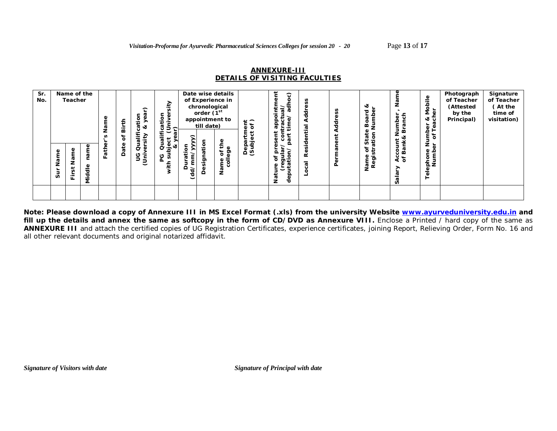### **ANNEXURE-III** *DETAILS OF VISITING FACULTIES*

| Sr.<br>No. |                 | Name of the<br>Teacher | ω                             | Φ    | ⇇<br>äir<br>ቴ   | ⌒<br>ᠬ<br>န<br>Φ<br><br>ത്ര<br>٤<br>≥<br><b>آن</b><br>ᠭᠣ | ><br>ىد<br>j<br>ğ<br>ō<br>$-$<br>÷<br>ى<br>ੌਂਕ ਤੇ ਪ<br>ិត<br>æ<br>ల<br>ā | ◠                                    | chronological<br>order $\check{P}^{\text{st}}$<br>till date) | Date wise details<br>of Experience in<br>appointment to<br>ይ | $\frac{1}{6}$<br>ω<br>ig<br>Bag | ි<br>᠊ᢐ<br>윤 증<br>ပ<br>ω<br>ಕ<br>ω<br>ల                                                    | 횽<br>ω<br>용                                               |          | ∝<br>ರ<br>≃<br><b>ro</b><br>ຜັ ≣ | Jumber<br>Branch<br>nk&<br>Ϊ | ≗<br>Mobi<br>er<br>જ<br>ပ<br>සි<br>Number<br><sup>3r</sup> of Tea | Photograph<br>of Teacher<br>(Attested<br>by the<br>Principal) | Signature<br>of Teacher<br>(At the<br>time of<br>visitation) |
|------------|-----------------|------------------------|-------------------------------|------|-----------------|----------------------------------------------------------|--------------------------------------------------------------------------|--------------------------------------|--------------------------------------------------------------|--------------------------------------------------------------|---------------------------------|--------------------------------------------------------------------------------------------|-----------------------------------------------------------|----------|----------------------------------|------------------------------|-------------------------------------------------------------------|---------------------------------------------------------------|--------------------------------------------------------------|
|            | Φ<br>Nam<br>Sur | σ<br>z<br>پ<br>ш.      | ₫<br>Φ<br>-<br>ਹ<br><b>Di</b> | Fatl | ate<br>$\Omega$ | đ<br>ত<br>ဠ<br>Ŝ                                         | ∝ठ<br>ō<br>O<br>S<br>ᠴ                                                   | ↗<br>Φ<br>ø<br>≏<br>$\sum_{i=1}^{n}$ | $\frac{1}{2}$<br>ס<br>≏                                      | ≖<br>ω<br>စ္မွာ<br>Ⴆ<br>$\overline{5}$<br>Φ<br>$\mathbf{z}$  | ত ত                             | ø<br>௨<br>$\circ$<br>$\circ$<br>ಕಾ≑<br>$\mathbf{a}$<br>ω<br>Φ<br>Б<br>Ρã<br>$\overline{e}$ | Ξ.<br>٥<br>$\alpha$<br>$\overline{\sigma}$<br>$\mathbf c$ | $\Delta$ | ৳ ৳<br>5<br>O)<br>ᇢᄙ             | ខី និ<br>र्दे 5              | ৳<br>ephone<br>Numb<br>$\overline{\Phi}$                          |                                                               |                                                              |

**Note: Please download a copy of Annexure III in MS Excel Format (.xls) from the university Website www.ayurveduniversity.edu.in and**  fill up the details and annex the same as softcopy in the form of CD/DVD as Annexure VIII. Enclose a Printed / hard copy of the same as **ANNEXURE III** and attach the certified copies of UG Registration Certificates, experience certificates, joining Report, Relieving Order, Form No. 16 and all other relevant documents and original notarized affidavit.

*Signature of Visitors with date*  $Signature of Principal with date$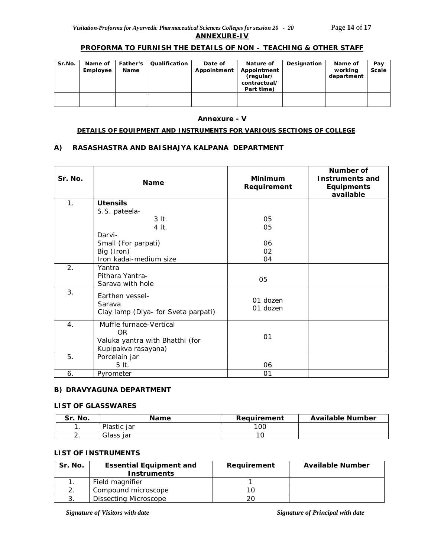## **PROFORMA TO FURNISH THE DETAILS OF NON – TEACHING & OTHER STAFF**

| Sr.No. | Name of<br>Employee | Father's<br>Name | Qualification | Date of<br>Appointment | Nature of<br>Appointment<br>(regular/<br>contractual/<br>Part time) | Designation | Name of<br>working<br>department | Pay<br>Scale |
|--------|---------------------|------------------|---------------|------------------------|---------------------------------------------------------------------|-------------|----------------------------------|--------------|
|        |                     |                  |               |                        |                                                                     |             |                                  |              |

#### **Annexure - V**

#### **DETAILS OF EQUIPMENT AND INSTRUMENTS FOR VARIOUS SECTIONS OF COLLEGE**

### **A) RASASHASTRA AND BAISHAJYA KALPANA DEPARTMENT**

| Sr. No. | <b>Name</b>                                                                              | Minimum<br>Requirement | Number of<br><b>Instruments and</b><br><b>Equipments</b><br>available |
|---------|------------------------------------------------------------------------------------------|------------------------|-----------------------------------------------------------------------|
| 1.      | <b>Utensils</b>                                                                          |                        |                                                                       |
|         | S.S. pateela-                                                                            |                        |                                                                       |
|         | $3$ It.                                                                                  | 05                     |                                                                       |
|         | 4 It.                                                                                    | 05                     |                                                                       |
|         | Darvi-                                                                                   |                        |                                                                       |
|         | Small (For parpati)                                                                      | 06                     |                                                                       |
|         | Big (Iron)                                                                               | 02                     |                                                                       |
|         | Iron kadai-medium size                                                                   | 04                     |                                                                       |
| 2.      | Yantra                                                                                   |                        |                                                                       |
|         | Pithara Yantra-                                                                          | 05                     |                                                                       |
|         | Sarava with hole                                                                         |                        |                                                                       |
| 3.      | Earthen vessel-<br>Sarava<br>Clay lamp (Diya- for Sveta parpati)                         | 01 dozen<br>01 dozen   |                                                                       |
| 4.      | Muffle furnace-Vertical<br>OR.<br>Valuka yantra with Bhatthi (for<br>Kupipakva rasayana) | 01                     |                                                                       |
| 5.      | Porcelain jar<br>5 lt.                                                                   | 06                     |                                                                       |
| 6.      | Pyrometer                                                                                | 01                     |                                                                       |

### **B) DRAVYAGUNA DEPARTMENT**

#### **LIST OF GLASSWARES**

| Sr. No.  | <b>Name</b> | Requirement | <b>Available Number</b> |
|----------|-------------|-------------|-------------------------|
|          | Plastic iar | 100         |                         |
| <u>.</u> | Glass jar   |             |                         |

### **LIST OF INSTRUMENTS**

| Sr. No. | <b>Essential Equipment and</b> | Requirement | <b>Available Number</b> |
|---------|--------------------------------|-------------|-------------------------|
|         | <b>Instruments</b>             |             |                         |
|         | Field magnifier                |             |                         |
|         | Compound microscope            |             |                         |
|         | Dissecting Microscope          | 20          |                         |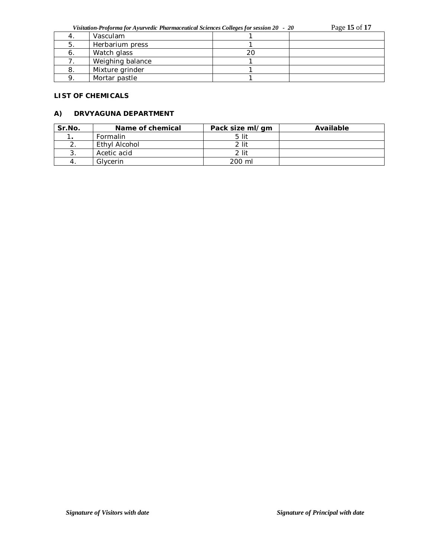*Visitation-Proforma for Ayurvedic Pharmaceutical Sciences Colleges for session 20 - 20* Page **15** of **17**

|    | Vasculam         |    |  |
|----|------------------|----|--|
|    | Herbarium press  |    |  |
| o. | Watch glass      | 20 |  |
|    | Weighing balance |    |  |
|    | Mixture grinder  |    |  |
|    | Mortar pastle    |    |  |

### **LIST OF CHEMICALS**

### **A) DRVYAGUNA DEPARTMENT**

| Sr.No. | Name of chemical | Pack size ml/gm | Available |
|--------|------------------|-----------------|-----------|
|        | Formalin         | 5 lit           |           |
|        | Ethyl Alcohol    | $2$ lit         |           |
| 3.     | Acetic acid      | 2 lit           |           |
|        | Glycerin         | 200 ml          |           |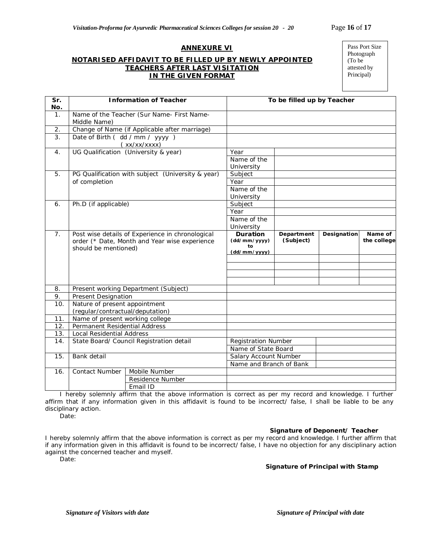### **ANNEXURE VI**

### **NOTARISED AFFIDAVIT TO BE FILLED UP BY NEWLY APPOINTED TEACHERS AFTER LAST VISITATION IN THE GIVEN FORMAT**

Pass Port Size Photograph (To be attested by Principal)

| $\overline{\mathsf{Sr.}}$<br>No. | <b>Information of Teacher</b>                                         |                                               | To be filled up by Teacher    |            |             |             |
|----------------------------------|-----------------------------------------------------------------------|-----------------------------------------------|-------------------------------|------------|-------------|-------------|
| 1.                               | Middle Name)                                                          | Name of the Teacher (Sur Name- First Name-    |                               |            |             |             |
| 2.                               |                                                                       | Change of Name (if Applicable after marriage) |                               |            |             |             |
| 3.                               | Date of Birth (dd / mm / yyyy)                                        |                                               |                               |            |             |             |
|                                  | (xx/xx/xxxx)                                                          |                                               |                               |            |             |             |
| $\overline{4}$ .                 | UG Qualification (University & year)                                  |                                               | Year                          |            |             |             |
|                                  |                                                                       |                                               | Name of the                   |            |             |             |
|                                  |                                                                       |                                               | University                    |            |             |             |
| 5.                               | PG Qualification with subject (University & year)                     |                                               | Subject                       |            |             |             |
|                                  | of completion                                                         |                                               | Year                          |            |             |             |
|                                  |                                                                       |                                               | Name of the                   |            |             |             |
|                                  |                                                                       |                                               | University                    |            |             |             |
| 6.                               | Ph.D (if applicable)                                                  |                                               | Subject                       |            |             |             |
|                                  |                                                                       |                                               | Year                          |            |             |             |
|                                  |                                                                       |                                               | Name of the                   |            |             |             |
| 7 <sub>1</sub>                   | Post wise details of Experience in chronological                      |                                               | University<br><b>Duration</b> | Department | Designation | Name of     |
|                                  | order (* Date, Month and Year wise experience<br>should be mentioned) |                                               | (dd/mm/yyyy)                  | (Subject)  |             | the college |
|                                  |                                                                       |                                               | to                            |            |             |             |
|                                  |                                                                       |                                               | (dd/mm/yyyy)                  |            |             |             |
|                                  |                                                                       |                                               |                               |            |             |             |
|                                  |                                                                       |                                               |                               |            |             |             |
|                                  |                                                                       |                                               |                               |            |             |             |
| 8.                               | Present working Department (Subject)                                  |                                               |                               |            |             |             |
| 9.                               | <b>Present Designation</b>                                            |                                               |                               |            |             |             |
| 10.                              | Nature of present appointment                                         |                                               |                               |            |             |             |
|                                  | (regular/contractual/deputation)                                      |                                               |                               |            |             |             |
| 11.                              | Name of present working college                                       |                                               |                               |            |             |             |
| 12.                              | Permanent Residential Address                                         |                                               |                               |            |             |             |
| 13.                              | <b>Local Residential Address</b>                                      |                                               |                               |            |             |             |
| 14.                              | State Board/ Council Registration detail                              |                                               | <b>Registration Number</b>    |            |             |             |
|                                  |                                                                       |                                               | Name of State Board           |            |             |             |
| 15.                              | Bank detail                                                           |                                               | Salary Account Number         |            |             |             |
|                                  |                                                                       |                                               | Name and Branch of Bank       |            |             |             |
| 16.                              | <b>Contact Number</b>                                                 | Mobile Number                                 |                               |            |             |             |
|                                  |                                                                       | Residence Number                              |                               |            |             |             |
|                                  |                                                                       | Email ID                                      |                               |            |             |             |

I hereby solemnly affirm that the above information is correct as per my record and knowledge. I further affirm that if any information given in this affidavit is found to be incorrect/ false, I shall be liable to be any disciplinary action.

Date:

#### **Signature of Deponent/ Teacher**

I hereby solemnly affirm that the above information is correct as per my record and knowledge. I further affirm that if any information given in this affidavit is found to be incorrect/ false, I have no objection for any disciplinary action against the concerned teacher and myself.

Date:

#### **Signature of Principal with Stamp**